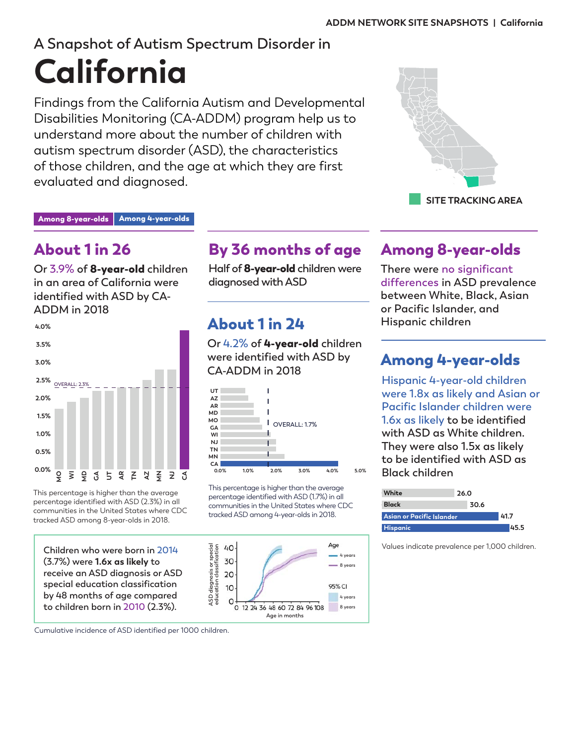# **A Snapshot of Autism Spectrum Disorder in California**

Findings from the California Autism and Developmental Disabilities Monitoring (CA-ADDM) program help us to understand more about the number of children with autism spectrum disorder (ASD), the characteristics of those children, and the age at which they are first evaluated and diagnosed.



Among 8-year-olds | Among 4-year-olds

# About 1 in 26

**Or 3.9% of** 8-year-old **children in an area of California were identified with ASD by CA-ADDM in 2018**



This percentage is higher than the average percentage identified with ASD (2.3%) in all communities in the United States where CDC tracked ASD among 8-year-olds in 2018.

**Children who were born in 2014 (3.7%) were 1.6x as likely to receive an ASD diagnosis or ASD special education classification by 48 months of age compared to children born in 2010 (2.3%).** 

By 36 months of age

**Half of** 8-year-old **children were diagnosed with ASD**

# About 1 in 24

**Or 4.2% of** 4-year-old **children were identified with ASD by CA-ADDM in 2018**



This percentage is higher than the average percentage identified with ASD (1.7%) in all communities in the United States where CDC tracked ASD among 4-year-olds in 2018.



## Among 8-year-olds

**There were no significant differences in ASD prevalence between White, Black, Asian or Pacific Islander, and Hispanic children**

# Among 4-year-olds

**Hispanic 4-year-old children were 1.8x as likely and Asian or Pacific Islander children were 1.6x as likely to be identified with ASD as White children. They were also 1.5x as likely to be identified with ASD as Black children**

| White                            | 26.0 |      |  |
|----------------------------------|------|------|--|
| <b>Black</b>                     | 30.6 |      |  |
| <b>Asian or Pacific Islander</b> |      | 41.7 |  |
| <b>Hispanic</b>                  |      | 45.5 |  |

Values indicate prevalence per 1,000 children.

Cumulative incidence of ASD identified per 1000 children.